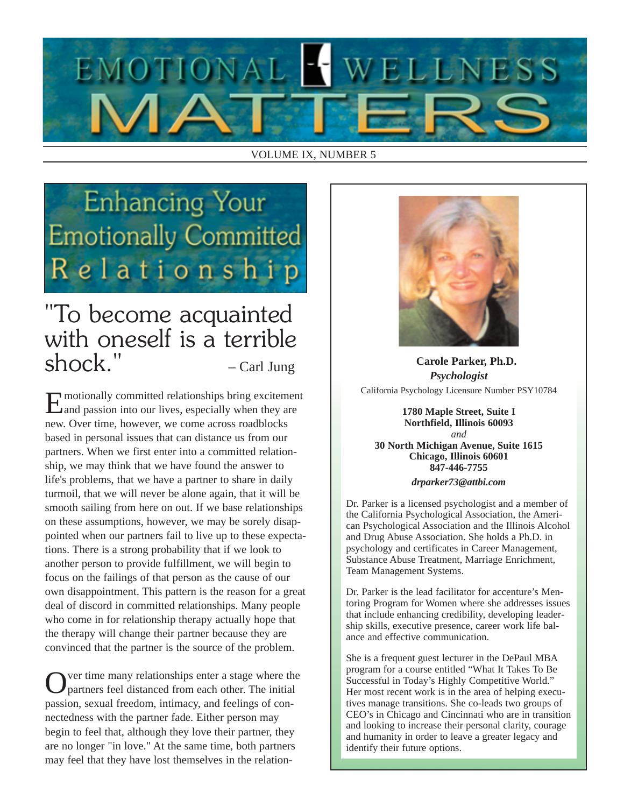

#### VOLUME IX, NUMBER 5

## **Enhancing Your Emotionally Committed** Relationship

## "To become acquainted with oneself is a terrible  $shock."$  – Carl Jung

Emotionally committed relationships bring excitement and passion into our lives, especially when they are new. Over time, however, we come across roadblocks based in personal issues that can distance us from our partners. When we first enter into a committed relationship, we may think that we have found the answer to life's problems, that we have a partner to share in daily turmoil, that we will never be alone again, that it will be smooth sailing from here on out. If we base relationships on these assumptions, however, we may be sorely disappointed when our partners fail to live up to these expectations. There is a strong probability that if we look to another person to provide fulfillment, we will begin to focus on the failings of that person as the cause of our own disappointment. This pattern is the reason for a great deal of discord in committed relationships. Many people who come in for relationship therapy actually hope that the therapy will change their partner because they are convinced that the partner is the source of the problem.

Over time many relationships enter a stage where the partners feel distanced from each other. The initial passion, sexual freedom, intimacy, and feelings of connectedness with the partner fade. Either person may begin to feel that, although they love their partner, they are no longer "in love." At the same time, both partners may feel that they have lost themselves in the relation-



**Carole Parker, Ph.D.** *Psychologist* California Psychology Licensure Number PSY10784

**1780 Maple Street, Suite I Northfield, Illinois 60093** *and* **30 North Michigan Avenue, Suite 1615 Chicago, Illinois 60601 847-446-7755** *drparker73@attbi.com*

Dr. Parker is a licensed psychologist and a member of the California Psychological Association, the American Psychological Association and the Illinois Alcohol and Drug Abuse Association. She holds a Ph.D. in psychology and certificates in Career Management, Substance Abuse Treatment, Marriage Enrichment, Team Management Systems.

Dr. Parker is the lead facilitator for accenture's Mentoring Program for Women where she addresses issues that include enhancing credibility, developing leadership skills, executive presence, career work life balance and effective communication.

She is a frequent guest lecturer in the DePaul MBA program for a course entitled "What It Takes To Be Successful in Today's Highly Competitive World." Her most recent work is in the area of helping executives manage transitions. She co-leads two groups of CEO's in Chicago and Cincinnati who are in transition and looking to increase their personal clarity, courage and humanity in order to leave a greater legacy and identify their future options.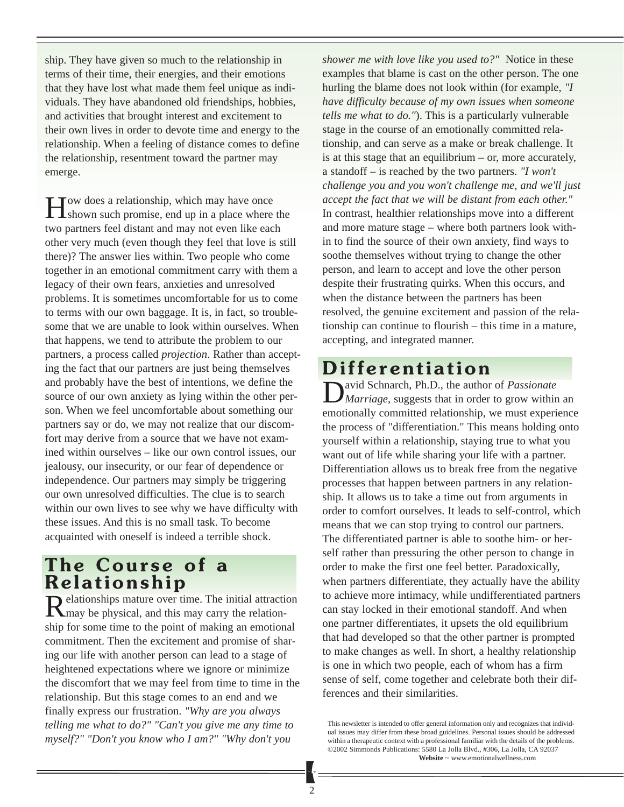ship. They have given so much to the relationship in terms of their time, their energies, and their emotions that they have lost what made them feel unique as individuals. They have abandoned old friendships, hobbies, and activities that brought interest and excitement to their own lives in order to devote time and energy to the relationship. When a feeling of distance comes to define the relationship, resentment toward the partner may emerge.

**T**ow does a relationship, which may have once **I** shown such promise, end up in a place where the two partners feel distant and may not even like each other very much (even though they feel that love is still there)? The answer lies within. Two people who come together in an emotional commitment carry with them a legacy of their own fears, anxieties and unresolved problems. It is sometimes uncomfortable for us to come to terms with our own baggage. It is, in fact, so troublesome that we are unable to look within ourselves. When that happens, we tend to attribute the problem to our partners, a process called *projection*. Rather than accepting the fact that our partners are just being themselves and probably have the best of intentions, we define the source of our own anxiety as lying within the other person. When we feel uncomfortable about something our partners say or do, we may not realize that our discomfort may derive from a source that we have not examined within ourselves – like our own control issues, our jealousy, our insecurity, or our fear of dependence or independence. Our partners may simply be triggering our own unresolved difficulties. The clue is to search within our own lives to see why we have difficulty with these issues. And this is no small task. To become acquainted with oneself is indeed a terrible shock.

### **The Course of a Relationship**<br>**D** elationships mature over time. The initial attraction

Relationships mature over time. The initial attraction may be physical, and this may carry the relationship for some time to the point of making an emotional commitment. Then the excitement and promise of sharing our life with another person can lead to a stage of heightened expectations where we ignore or minimize the discomfort that we may feel from time to time in the relationship. But this stage comes to an end and we finally express our frustration. *"Why are you always telling me what to do?" "Can't you give me any time to myself?" "Don't you know who I am?" "Why don't you*

*shower me with love like you used to?"* Notice in these examples that blame is cast on the other person. The one hurling the blame does not look within (for example, *"I have difficulty because of my own issues when someone tells me what to do."*). This is a particularly vulnerable stage in the course of an emotionally committed relationship, and can serve as a make or break challenge. It is at this stage that an equilibrium – or, more accurately, a standoff – is reached by the two partners. *"I won't challenge you and you won't challenge me, and we'll just accept the fact that we will be distant from each other."* In contrast, healthier relationships move into a different and more mature stage – where both partners look within to find the source of their own anxiety, find ways to soothe themselves without trying to change the other person, and learn to accept and love the other person despite their frustrating quirks. When this occurs, and when the distance between the partners has been resolved, the genuine excitement and passion of the relationship can continue to flourish – this time in a mature, accepting, and integrated manner.

### **Differentiation**

avid Schnarch, Ph.D., the author of *Passionate Marriage*, suggests that in order to grow within an emotionally committed relationship, we must experience the process of "differentiation." This means holding onto yourself within a relationship, staying true to what you want out of life while sharing your life with a partner. Differentiation allows us to break free from the negative processes that happen between partners in any relationship. It allows us to take a time out from arguments in order to comfort ourselves. It leads to self-control, which means that we can stop trying to control our partners. The differentiated partner is able to soothe him- or herself rather than pressuring the other person to change in order to make the first one feel better. Paradoxically, when partners differentiate, they actually have the ability to achieve more intimacy, while undifferentiated partners can stay locked in their emotional standoff. And when one partner differentiates, it upsets the old equilibrium that had developed so that the other partner is prompted to make changes as well. In short, a healthy relationship is one in which two people, each of whom has a firm sense of self, come together and celebrate both their differences and their similarities.

This newsletter is intended to offer general information only and recognizes that individual issues may differ from these broad guidelines. Personal issues should be addressed within a therapeutic context with a professional familiar with the details of the problems. ©2002 Simmonds Publications: 5580 La Jolla Blvd., #306, La Jolla, CA 92037 **Website** ~ www.emotionalwellness.com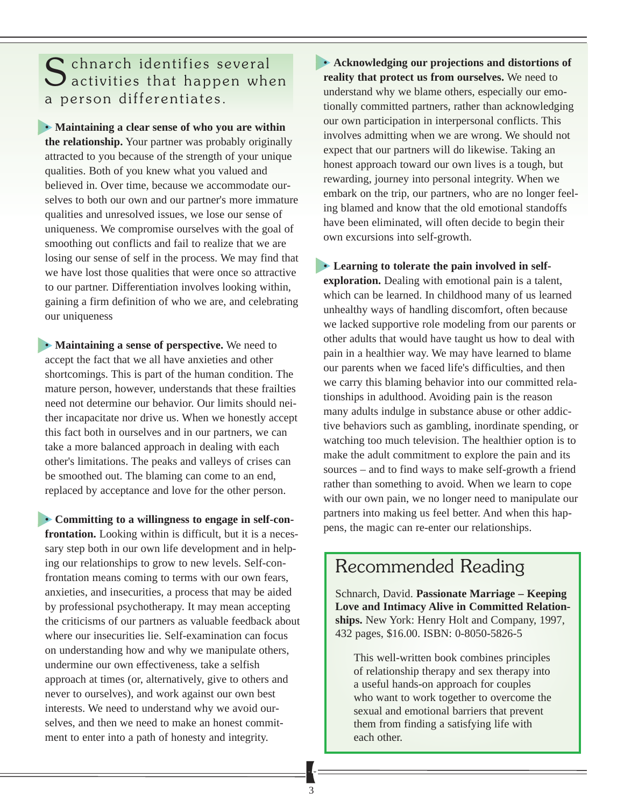## S chnarch identifies several<br>Sactivities that happen when a person differentiates.

• **Maintaining a clear sense of who you are within the relationship.** Your partner was probably originally attracted to you because of the strength of your unique qualities. Both of you knew what you valued and believed in. Over time, because we accommodate ourselves to both our own and our partner's more immature qualities and unresolved issues, we lose our sense of uniqueness. We compromise ourselves with the goal of smoothing out conflicts and fail to realize that we are losing our sense of self in the process. We may find that we have lost those qualities that were once so attractive to our partner. Differentiation involves looking within, gaining a firm definition of who we are, and celebrating our uniqueness

• **Maintaining a sense of perspective.** We need to accept the fact that we all have anxieties and other shortcomings. This is part of the human condition. The mature person, however, understands that these frailties need not determine our behavior. Our limits should neither incapacitate nor drive us. When we honestly accept this fact both in ourselves and in our partners, we can take a more balanced approach in dealing with each other's limitations. The peaks and valleys of crises can be smoothed out. The blaming can come to an end, replaced by acceptance and love for the other person.

• **Committing to a willingness to engage in self-confrontation.** Looking within is difficult, but it is a necessary step both in our own life development and in helping our relationships to grow to new levels. Self-confrontation means coming to terms with our own fears, anxieties, and insecurities, a process that may be aided by professional psychotherapy. It may mean accepting the criticisms of our partners as valuable feedback about where our insecurities lie. Self-examination can focus on understanding how and why we manipulate others, undermine our own effectiveness, take a selfish approach at times (or, alternatively, give to others and never to ourselves), and work against our own best interests. We need to understand why we avoid ourselves, and then we need to make an honest commitment to enter into a path of honesty and integrity.

• **Acknowledging our projections and distortions of reality that protect us from ourselves.** We need to understand why we blame others, especially our emotionally committed partners, rather than acknowledging our own participation in interpersonal conflicts. This involves admitting when we are wrong. We should not expect that our partners will do likewise. Taking an honest approach toward our own lives is a tough, but rewarding, journey into personal integrity. When we embark on the trip, our partners, who are no longer feeling blamed and know that the old emotional standoffs have been eliminated, will often decide to begin their own excursions into self-growth.

• **Learning to tolerate the pain involved in selfexploration.** Dealing with emotional pain is a talent, which can be learned. In childhood many of us learned unhealthy ways of handling discomfort, often because we lacked supportive role modeling from our parents or other adults that would have taught us how to deal with pain in a healthier way. We may have learned to blame our parents when we faced life's difficulties, and then we carry this blaming behavior into our committed relationships in adulthood. Avoiding pain is the reason many adults indulge in substance abuse or other addictive behaviors such as gambling, inordinate spending, or watching too much television. The healthier option is to make the adult commitment to explore the pain and its sources – and to find ways to make self-growth a friend rather than something to avoid. When we learn to cope with our own pain, we no longer need to manipulate our partners into making us feel better. And when this happens, the magic can re-enter our relationships.

#### Recommended Reading

Schnarch, David. **Passionate Marriage – Keeping Love and Intimacy Alive in Committed Relationships.** New York: Henry Holt and Company, 1997, 432 pages, \$16.00. ISBN: 0-8050-5826-5

This well-written book combines principles of relationship therapy and sex therapy into a useful hands-on approach for couples who want to work together to overcome the sexual and emotional barriers that prevent them from finding a satisfying life with each other.